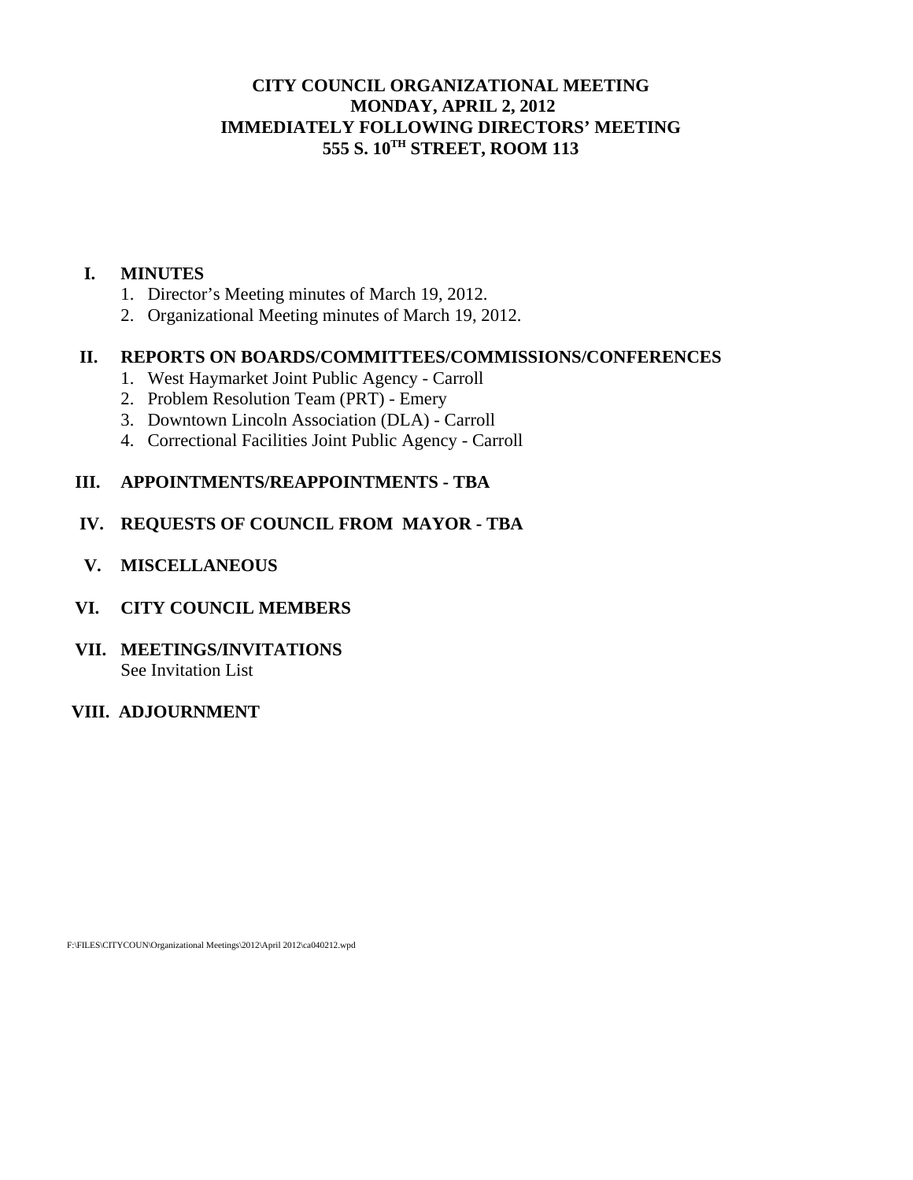## **CITY COUNCIL ORGANIZATIONAL MEETING MONDAY, APRIL 2, 2012 IMMEDIATELY FOLLOWING DIRECTORS' MEETING 555 S. 10TH STREET, ROOM 113**

#### **I. MINUTES**

- 1. Director's Meeting minutes of March 19, 2012.
- 2. Organizational Meeting minutes of March 19, 2012.

## **II. REPORTS ON BOARDS/COMMITTEES/COMMISSIONS/CONFERENCES**

- 1. West Haymarket Joint Public Agency Carroll
- 2. Problem Resolution Team (PRT) Emery
- 3. Downtown Lincoln Association (DLA) Carroll
- 4. Correctional Facilities Joint Public Agency Carroll

## **III. APPOINTMENTS/REAPPOINTMENTS - TBA**

- **IV. REQUESTS OF COUNCIL FROM MAYOR TBA**
- **V. MISCELLANEOUS**
- **VI. CITY COUNCIL MEMBERS**
- **VII. MEETINGS/INVITATIONS**  See Invitation List

# **VIII. ADJOURNMENT**

F:\FILES\CITYCOUN\Organizational Meetings\2012\April 2012\ca040212.wpd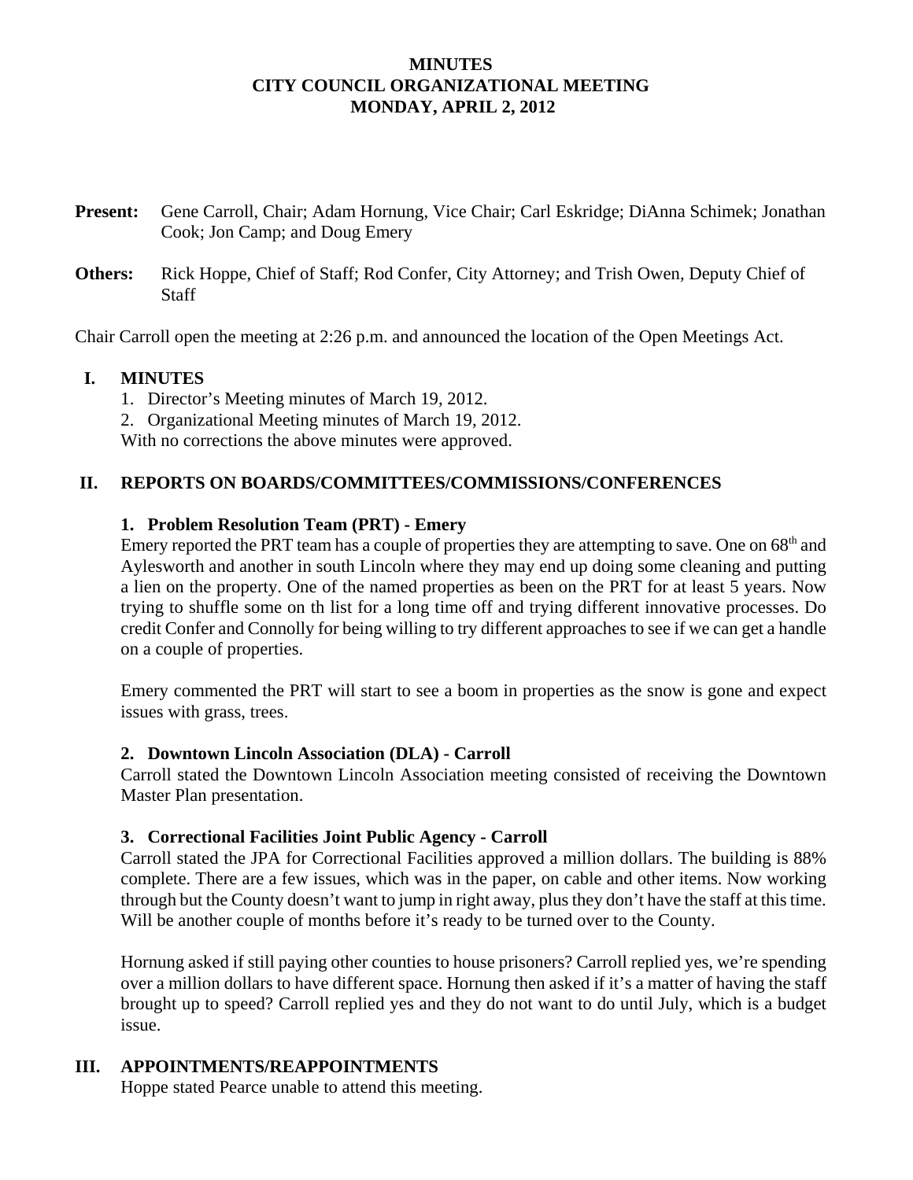## **MINUTES CITY COUNCIL ORGANIZATIONAL MEETING MONDAY, APRIL 2, 2012**

- **Present:** Gene Carroll, Chair; Adam Hornung, Vice Chair; Carl Eskridge; DiAnna Schimek; Jonathan Cook; Jon Camp; and Doug Emery
- **Others:** Rick Hoppe, Chief of Staff; Rod Confer, City Attorney; and Trish Owen, Deputy Chief of **Staff**

Chair Carroll open the meeting at 2:26 p.m. and announced the location of the Open Meetings Act.

### **I. MINUTES**

- 1. Director's Meeting minutes of March 19, 2012.
- 2. Organizational Meeting minutes of March 19, 2012.

With no corrections the above minutes were approved.

### **II. REPORTS ON BOARDS/COMMITTEES/COMMISSIONS/CONFERENCES**

### **1. Problem Resolution Team (PRT) - Emery**

Emery reported the PRT team has a couple of properties they are attempting to save. One on  $68<sup>th</sup>$  and Aylesworth and another in south Lincoln where they may end up doing some cleaning and putting a lien on the property. One of the named properties as been on the PRT for at least 5 years. Now trying to shuffle some on th list for a long time off and trying different innovative processes. Do credit Confer and Connolly for being willing to try different approaches to see if we can get a handle on a couple of properties.

Emery commented the PRT will start to see a boom in properties as the snow is gone and expect issues with grass, trees.

#### **2. Downtown Lincoln Association (DLA) - Carroll**

Carroll stated the Downtown Lincoln Association meeting consisted of receiving the Downtown Master Plan presentation.

#### **3. Correctional Facilities Joint Public Agency - Carroll**

Carroll stated the JPA for Correctional Facilities approved a million dollars. The building is 88% complete. There are a few issues, which was in the paper, on cable and other items. Now working through but the County doesn't want to jump in right away, plus they don't have the staff at this time. Will be another couple of months before it's ready to be turned over to the County.

Hornung asked if still paying other counties to house prisoners? Carroll replied yes, we're spending over a million dollars to have different space. Hornung then asked if it's a matter of having the staff brought up to speed? Carroll replied yes and they do not want to do until July, which is a budget issue.

## **III. APPOINTMENTS/REAPPOINTMENTS**

Hoppe stated Pearce unable to attend this meeting.